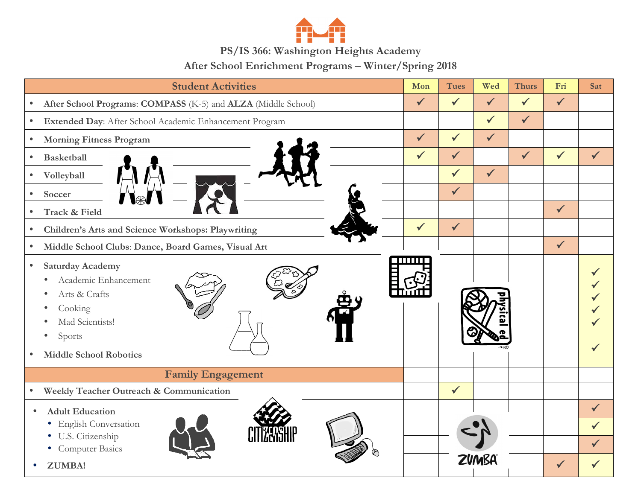

## **PS/IS 366: Washington Heights Academy**

**After School Enrichment Programs – Winter/Spring 2018**

| <b>Student Activities</b>                                                                                                                                                                          | Mon          | <b>Tues</b>  | Wed          | <b>Thurs</b> | Fri          | Sat          |
|----------------------------------------------------------------------------------------------------------------------------------------------------------------------------------------------------|--------------|--------------|--------------|--------------|--------------|--------------|
| After School Programs: COMPASS (K-5) and ALZA (Middle School)<br>$\bullet$                                                                                                                         | $\checkmark$ | $\checkmark$ | $\checkmark$ | $\checkmark$ | $\checkmark$ |              |
| Extended Day: After School Academic Enhancement Program<br>$\bullet$                                                                                                                               |              |              | $\checkmark$ | $\checkmark$ |              |              |
| <b>Morning Fitness Program</b><br>$\bullet$                                                                                                                                                        | $\checkmark$ | $\checkmark$ | $\checkmark$ |              |              |              |
| <b>Basketball</b><br>$\bullet$                                                                                                                                                                     | $\checkmark$ | $\checkmark$ |              | $\checkmark$ | $\checkmark$ | $\checkmark$ |
| Volleyball<br>$\bullet$                                                                                                                                                                            |              | $\checkmark$ | $\checkmark$ |              |              |              |
| Soccer<br>$\bullet$                                                                                                                                                                                |              | $\checkmark$ |              |              |              |              |
| Track & Field                                                                                                                                                                                      |              |              |              |              | $\checkmark$ |              |
| Children's Arts and Science Workshops: Playwriting<br>$\bullet$                                                                                                                                    | $\checkmark$ | $\checkmark$ |              |              |              |              |
| Middle School Clubs: Dance, Board Games, Visual Art<br>$\bullet$                                                                                                                                   |              |              |              |              | $\checkmark$ |              |
| <b>Saturday Academy</b><br>$\bullet$<br>Academic Enhancement<br>$\bullet$<br>Arts & Crafts<br>٠<br>Cooking<br>Mad Scientists!<br>Sports<br>$\bullet$<br><b>Middle School Robotics</b><br>$\bullet$ |              |              |              |              |              |              |
| <b>Family Engagement</b>                                                                                                                                                                           |              |              |              |              |              |              |
| Weekly Teacher Outreach & Communication<br>$\bullet$                                                                                                                                               |              | $\checkmark$ |              |              |              |              |
| <b>Adult Education</b><br>$\bullet$                                                                                                                                                                |              |              |              |              |              | $\checkmark$ |
| <b>English Conversation</b><br>$\bullet$<br>U.S. Citizenship<br>$\bullet$                                                                                                                          |              |              |              |              |              | $\checkmark$ |
| • Computer Basics                                                                                                                                                                                  |              |              |              |              |              | $\checkmark$ |
| <b>ZUMBA!</b>                                                                                                                                                                                      |              |              | ZUMBA        |              |              |              |